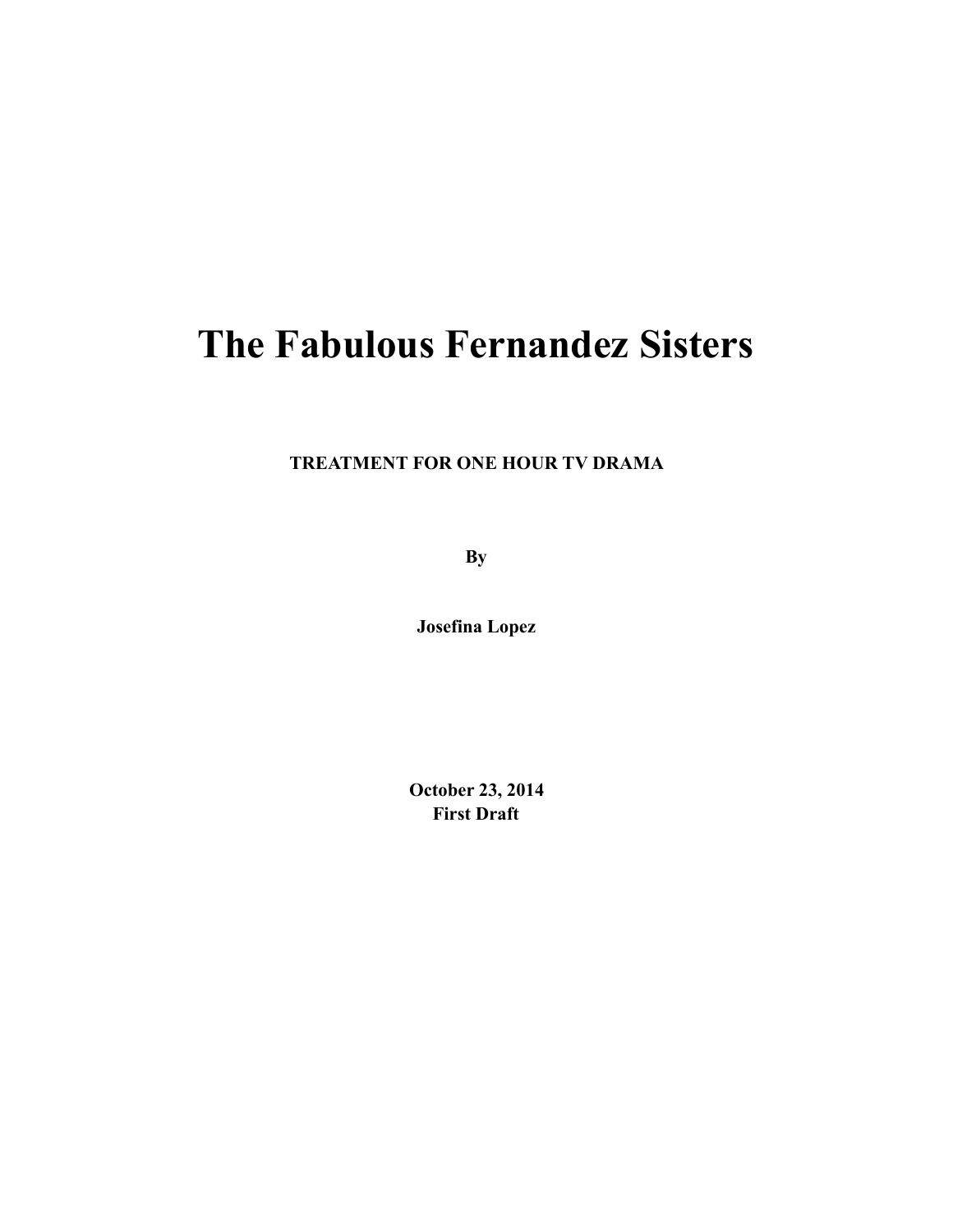## **The Fabulous Fernandez Sisters**

**TREATMENT FOR ONE HOUR TV DRAMA**

**By** 

**Josefina Lopez** 

**October 23, 2014 First Draft**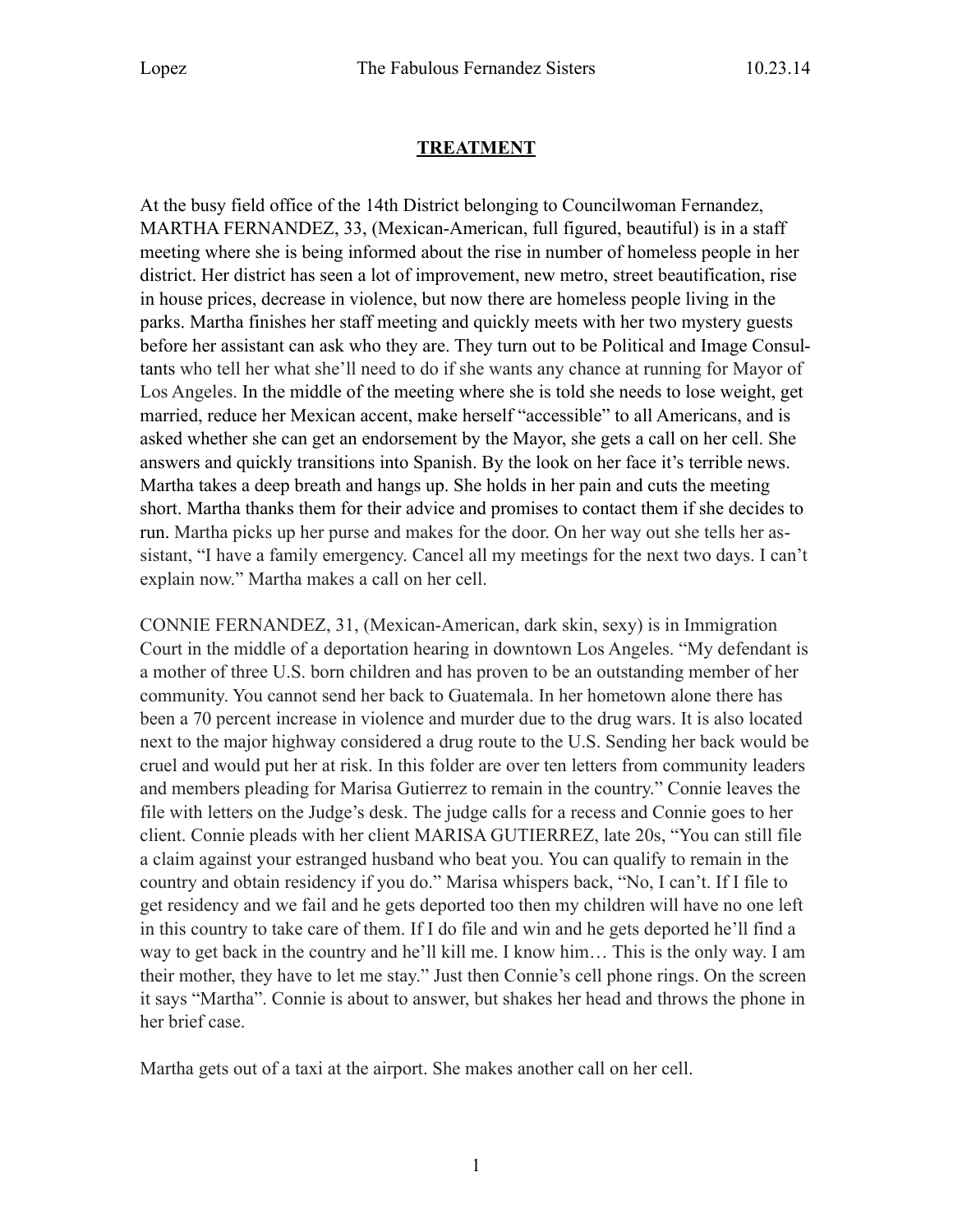## **TREATMENT**

At the busy field office of the 14th District belonging to Councilwoman Fernandez, MARTHA FERNANDEZ, 33, (Mexican-American, full figured, beautiful) is in a staff meeting where she is being informed about the rise in number of homeless people in her district. Her district has seen a lot of improvement, new metro, street beautification, rise in house prices, decrease in violence, but now there are homeless people living in the parks. Martha finishes her staff meeting and quickly meets with her two mystery guests before her assistant can ask who they are. They turn out to be Political and Image Consultants who tell her what she'll need to do if she wants any chance at running for Mayor of Los Angeles. In the middle of the meeting where she is told she needs to lose weight, get married, reduce her Mexican accent, make herself "accessible" to all Americans, and is asked whether she can get an endorsement by the Mayor, she gets a call on her cell. She answers and quickly transitions into Spanish. By the look on her face it's terrible news. Martha takes a deep breath and hangs up. She holds in her pain and cuts the meeting short. Martha thanks them for their advice and promises to contact them if she decides to run. Martha picks up her purse and makes for the door. On her way out she tells her assistant, "I have a family emergency. Cancel all my meetings for the next two days. I can't explain now." Martha makes a call on her cell.

CONNIE FERNANDEZ, 31, (Mexican-American, dark skin, sexy) is in Immigration Court in the middle of a deportation hearing in downtown Los Angeles. "My defendant is a mother of three U.S. born children and has proven to be an outstanding member of her community. You cannot send her back to Guatemala. In her hometown alone there has been a 70 percent increase in violence and murder due to the drug wars. It is also located next to the major highway considered a drug route to the U.S. Sending her back would be cruel and would put her at risk. In this folder are over ten letters from community leaders and members pleading for Marisa Gutierrez to remain in the country." Connie leaves the file with letters on the Judge's desk. The judge calls for a recess and Connie goes to her client. Connie pleads with her client MARISA GUTIERREZ, late 20s, "You can still file a claim against your estranged husband who beat you. You can qualify to remain in the country and obtain residency if you do." Marisa whispers back, "No, I can't. If I file to get residency and we fail and he gets deported too then my children will have no one left in this country to take care of them. If I do file and win and he gets deported he'll find a way to get back in the country and he'll kill me. I know him… This is the only way. I am their mother, they have to let me stay." Just then Connie's cell phone rings. On the screen it says "Martha". Connie is about to answer, but shakes her head and throws the phone in her brief case.

Martha gets out of a taxi at the airport. She makes another call on her cell.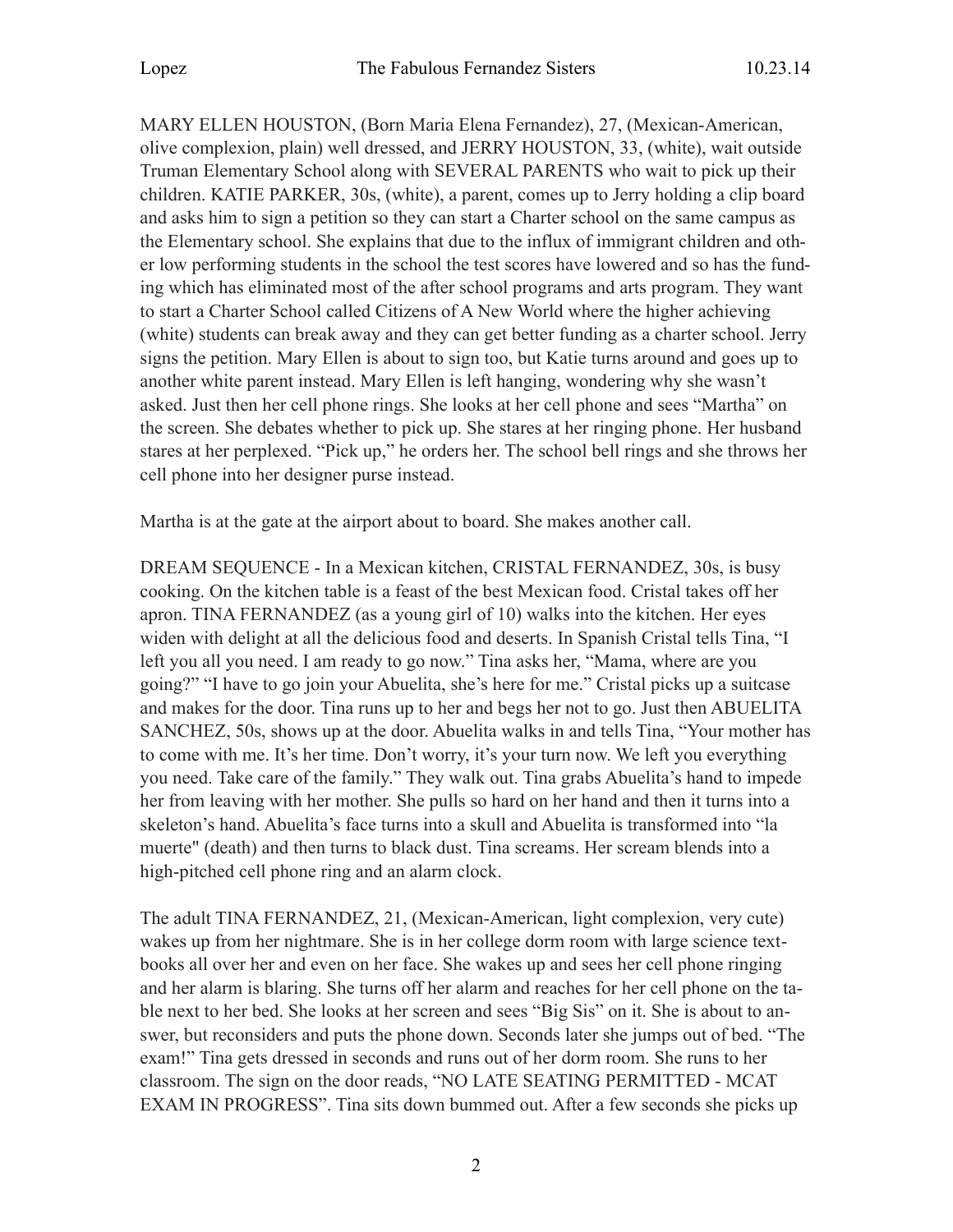MARY ELLEN HOUSTON, (Born Maria Elena Fernandez), 27, (Mexican-American, olive complexion, plain) well dressed, and JERRY HOUSTON, 33, (white), wait outside Truman Elementary School along with SEVERAL PARENTS who wait to pick up their children. KATIE PARKER, 30s, (white), a parent, comes up to Jerry holding a clip board and asks him to sign a petition so they can start a Charter school on the same campus as the Elementary school. She explains that due to the influx of immigrant children and other low performing students in the school the test scores have lowered and so has the funding which has eliminated most of the after school programs and arts program. They want to start a Charter School called Citizens of A New World where the higher achieving (white) students can break away and they can get better funding as a charter school. Jerry signs the petition. Mary Ellen is about to sign too, but Katie turns around and goes up to another white parent instead. Mary Ellen is left hanging, wondering why she wasn't asked. Just then her cell phone rings. She looks at her cell phone and sees "Martha" on the screen. She debates whether to pick up. She stares at her ringing phone. Her husband stares at her perplexed. "Pick up," he orders her. The school bell rings and she throws her cell phone into her designer purse instead.

Martha is at the gate at the airport about to board. She makes another call.

DREAM SEQUENCE - In a Mexican kitchen, CRISTAL FERNANDEZ, 30s, is busy cooking. On the kitchen table is a feast of the best Mexican food. Cristal takes off her apron. TINA FERNANDEZ (as a young girl of 10) walks into the kitchen. Her eyes widen with delight at all the delicious food and deserts. In Spanish Cristal tells Tina, "I left you all you need. I am ready to go now." Tina asks her, "Mama, where are you going?" "I have to go join your Abuelita, she's here for me." Cristal picks up a suitcase and makes for the door. Tina runs up to her and begs her not to go. Just then ABUELITA SANCHEZ, 50s, shows up at the door. Abuelita walks in and tells Tina, "Your mother has to come with me. It's her time. Don't worry, it's your turn now. We left you everything you need. Take care of the family." They walk out. Tina grabs Abuelita's hand to impede her from leaving with her mother. She pulls so hard on her hand and then it turns into a skeleton's hand. Abuelita's face turns into a skull and Abuelita is transformed into "la muerte" (death) and then turns to black dust. Tina screams. Her scream blends into a high-pitched cell phone ring and an alarm clock.

The adult TINA FERNANDEZ, 21, (Mexican-American, light complexion, very cute) wakes up from her nightmare. She is in her college dorm room with large science textbooks all over her and even on her face. She wakes up and sees her cell phone ringing and her alarm is blaring. She turns off her alarm and reaches for her cell phone on the table next to her bed. She looks at her screen and sees "Big Sis" on it. She is about to answer, but reconsiders and puts the phone down. Seconds later she jumps out of bed. "The exam!" Tina gets dressed in seconds and runs out of her dorm room. She runs to her classroom. The sign on the door reads, "NO LATE SEATING PERMITTED - MCAT EXAM IN PROGRESS". Tina sits down bummed out. After a few seconds she picks up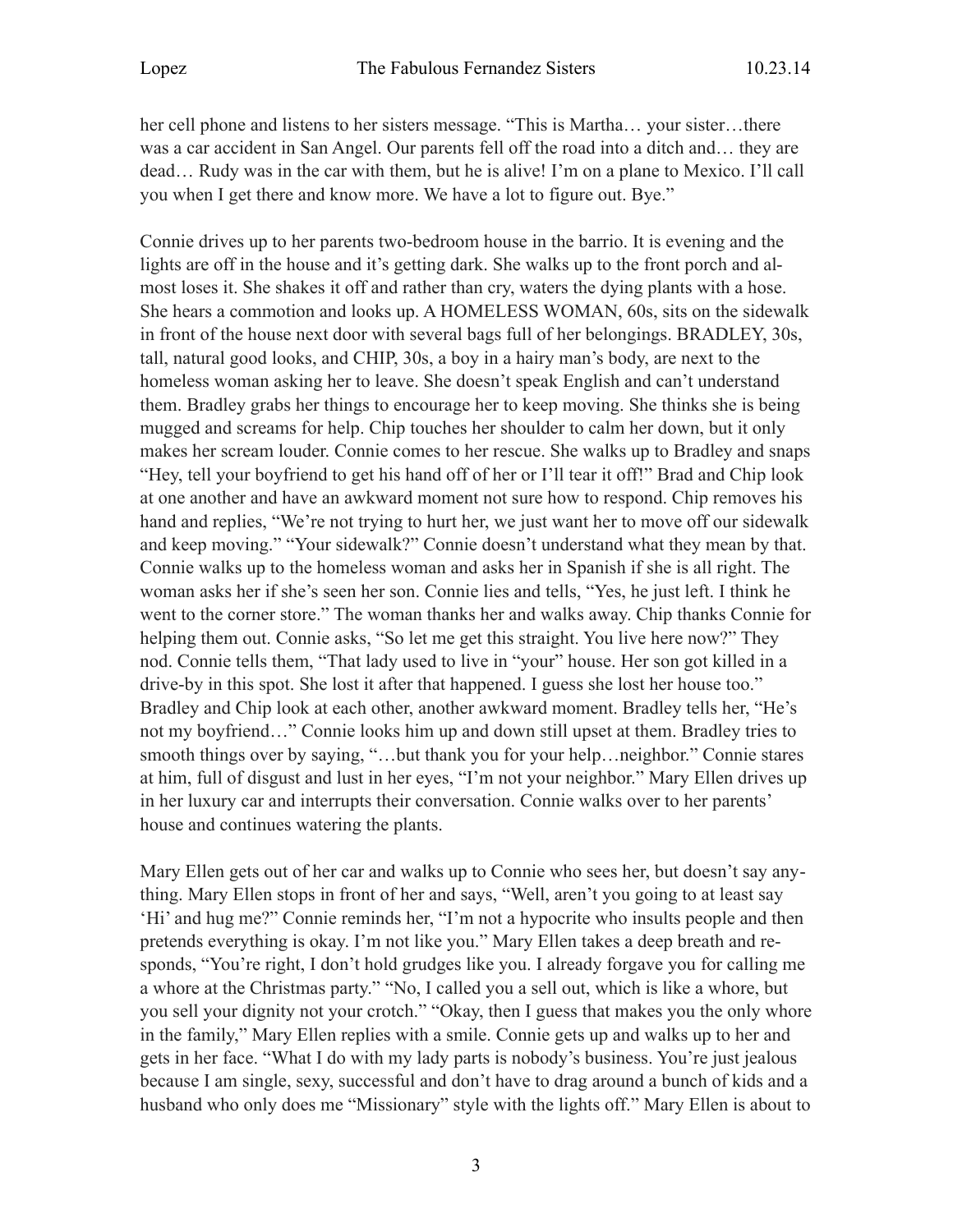her cell phone and listens to her sisters message. "This is Martha… your sister…there was a car accident in San Angel. Our parents fell off the road into a ditch and… they are dead… Rudy was in the car with them, but he is alive! I'm on a plane to Mexico. I'll call you when I get there and know more. We have a lot to figure out. Bye."

Connie drives up to her parents two-bedroom house in the barrio. It is evening and the lights are off in the house and it's getting dark. She walks up to the front porch and almost loses it. She shakes it off and rather than cry, waters the dying plants with a hose. She hears a commotion and looks up. A HOMELESS WOMAN, 60s, sits on the sidewalk in front of the house next door with several bags full of her belongings. BRADLEY, 30s, tall, natural good looks, and CHIP, 30s, a boy in a hairy man's body, are next to the homeless woman asking her to leave. She doesn't speak English and can't understand them. Bradley grabs her things to encourage her to keep moving. She thinks she is being mugged and screams for help. Chip touches her shoulder to calm her down, but it only makes her scream louder. Connie comes to her rescue. She walks up to Bradley and snaps "Hey, tell your boyfriend to get his hand off of her or I'll tear it off!" Brad and Chip look at one another and have an awkward moment not sure how to respond. Chip removes his hand and replies, "We're not trying to hurt her, we just want her to move off our sidewalk and keep moving." "Your sidewalk?" Connie doesn't understand what they mean by that. Connie walks up to the homeless woman and asks her in Spanish if she is all right. The woman asks her if she's seen her son. Connie lies and tells, "Yes, he just left. I think he went to the corner store." The woman thanks her and walks away. Chip thanks Connie for helping them out. Connie asks, "So let me get this straight. You live here now?" They nod. Connie tells them, "That lady used to live in "your" house. Her son got killed in a drive-by in this spot. She lost it after that happened. I guess she lost her house too." Bradley and Chip look at each other, another awkward moment. Bradley tells her, "He's not my boyfriend…" Connie looks him up and down still upset at them. Bradley tries to smooth things over by saying, "...but thank you for your help...neighbor." Connie stares at him, full of disgust and lust in her eyes, "I'm not your neighbor." Mary Ellen drives up in her luxury car and interrupts their conversation. Connie walks over to her parents' house and continues watering the plants.

Mary Ellen gets out of her car and walks up to Connie who sees her, but doesn't say anything. Mary Ellen stops in front of her and says, "Well, aren't you going to at least say 'Hi' and hug me?" Connie reminds her, "I'm not a hypocrite who insults people and then pretends everything is okay. I'm not like you." Mary Ellen takes a deep breath and responds, "You're right, I don't hold grudges like you. I already forgave you for calling me a whore at the Christmas party." "No, I called you a sell out, which is like a whore, but you sell your dignity not your crotch." "Okay, then I guess that makes you the only whore in the family," Mary Ellen replies with a smile. Connie gets up and walks up to her and gets in her face. "What I do with my lady parts is nobody's business. You're just jealous because I am single, sexy, successful and don't have to drag around a bunch of kids and a husband who only does me "Missionary" style with the lights off." Mary Ellen is about to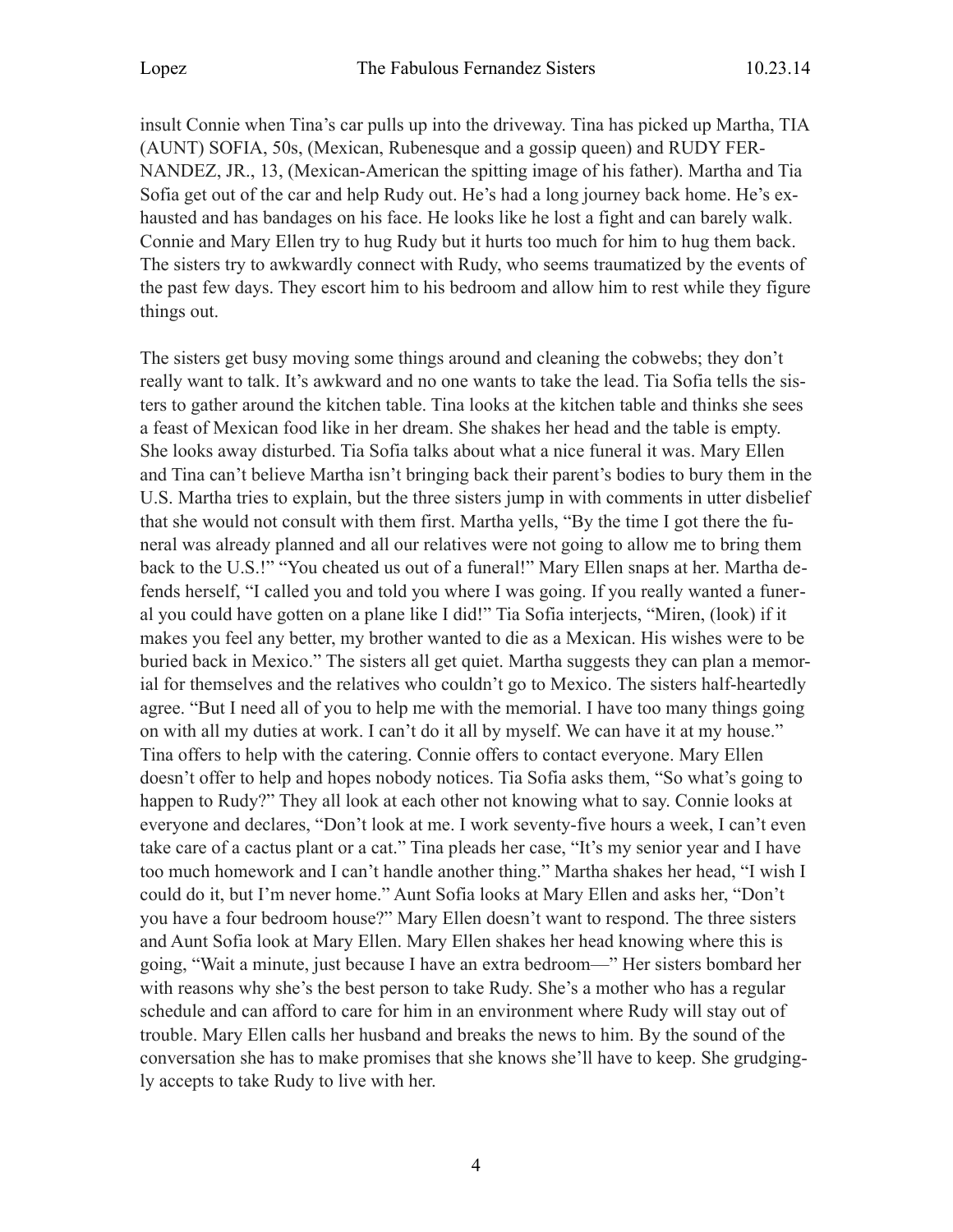insult Connie when Tina's car pulls up into the driveway. Tina has picked up Martha, TIA (AUNT) SOFIA, 50s, (Mexican, Rubenesque and a gossip queen) and RUDY FER-NANDEZ, JR., 13, (Mexican-American the spitting image of his father). Martha and Tia Sofia get out of the car and help Rudy out. He's had a long journey back home. He's exhausted and has bandages on his face. He looks like he lost a fight and can barely walk. Connie and Mary Ellen try to hug Rudy but it hurts too much for him to hug them back. The sisters try to awkwardly connect with Rudy, who seems traumatized by the events of the past few days. They escort him to his bedroom and allow him to rest while they figure things out.

The sisters get busy moving some things around and cleaning the cobwebs; they don't really want to talk. It's awkward and no one wants to take the lead. Tia Sofia tells the sisters to gather around the kitchen table. Tina looks at the kitchen table and thinks she sees a feast of Mexican food like in her dream. She shakes her head and the table is empty. She looks away disturbed. Tia Sofia talks about what a nice funeral it was. Mary Ellen and Tina can't believe Martha isn't bringing back their parent's bodies to bury them in the U.S. Martha tries to explain, but the three sisters jump in with comments in utter disbelief that she would not consult with them first. Martha yells, "By the time I got there the funeral was already planned and all our relatives were not going to allow me to bring them back to the U.S.!" "You cheated us out of a funeral!" Mary Ellen snaps at her. Martha defends herself, "I called you and told you where I was going. If you really wanted a funeral you could have gotten on a plane like I did!" Tia Sofia interjects, "Miren, (look) if it makes you feel any better, my brother wanted to die as a Mexican. His wishes were to be buried back in Mexico." The sisters all get quiet. Martha suggests they can plan a memorial for themselves and the relatives who couldn't go to Mexico. The sisters half-heartedly agree. "But I need all of you to help me with the memorial. I have too many things going on with all my duties at work. I can't do it all by myself. We can have it at my house." Tina offers to help with the catering. Connie offers to contact everyone. Mary Ellen doesn't offer to help and hopes nobody notices. Tia Sofia asks them, "So what's going to happen to Rudy?" They all look at each other not knowing what to say. Connie looks at everyone and declares, "Don't look at me. I work seventy-five hours a week, I can't even take care of a cactus plant or a cat." Tina pleads her case, "It's my senior year and I have too much homework and I can't handle another thing." Martha shakes her head, "I wish I could do it, but I'm never home." Aunt Sofia looks at Mary Ellen and asks her, "Don't you have a four bedroom house?" Mary Ellen doesn't want to respond. The three sisters and Aunt Sofia look at Mary Ellen. Mary Ellen shakes her head knowing where this is going, "Wait a minute, just because I have an extra bedroom—" Her sisters bombard her with reasons why she's the best person to take Rudy. She's a mother who has a regular schedule and can afford to care for him in an environment where Rudy will stay out of trouble. Mary Ellen calls her husband and breaks the news to him. By the sound of the conversation she has to make promises that she knows she'll have to keep. She grudgingly accepts to take Rudy to live with her.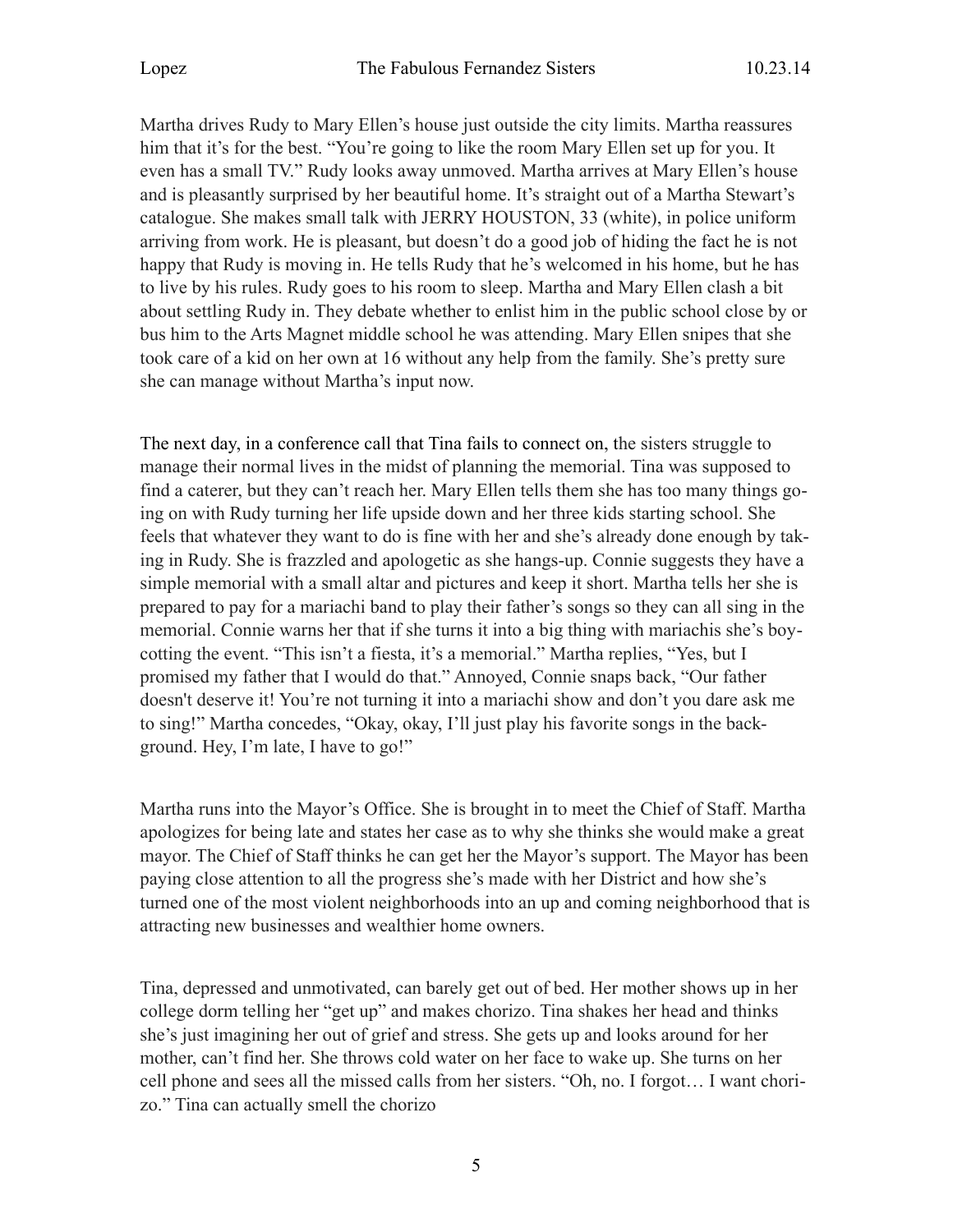Martha drives Rudy to Mary Ellen's house just outside the city limits. Martha reassures him that it's for the best. "You're going to like the room Mary Ellen set up for you. It even has a small TV." Rudy looks away unmoved. Martha arrives at Mary Ellen's house and is pleasantly surprised by her beautiful home. It's straight out of a Martha Stewart's catalogue. She makes small talk with JERRY HOUSTON, 33 (white), in police uniform arriving from work. He is pleasant, but doesn't do a good job of hiding the fact he is not happy that Rudy is moving in. He tells Rudy that he's welcomed in his home, but he has to live by his rules. Rudy goes to his room to sleep. Martha and Mary Ellen clash a bit about settling Rudy in. They debate whether to enlist him in the public school close by or bus him to the Arts Magnet middle school he was attending. Mary Ellen snipes that she took care of a kid on her own at 16 without any help from the family. She's pretty sure she can manage without Martha's input now.

The next day, in a conference call that Tina fails to connect on, the sisters struggle to manage their normal lives in the midst of planning the memorial. Tina was supposed to find a caterer, but they can't reach her. Mary Ellen tells them she has too many things going on with Rudy turning her life upside down and her three kids starting school. She feels that whatever they want to do is fine with her and she's already done enough by taking in Rudy. She is frazzled and apologetic as she hangs-up. Connie suggests they have a simple memorial with a small altar and pictures and keep it short. Martha tells her she is prepared to pay for a mariachi band to play their father's songs so they can all sing in the memorial. Connie warns her that if she turns it into a big thing with mariachis she's boycotting the event. "This isn't a fiesta, it's a memorial." Martha replies, "Yes, but I promised my father that I would do that." Annoyed, Connie snaps back, "Our father doesn't deserve it! You're not turning it into a mariachi show and don't you dare ask me to sing!" Martha concedes, "Okay, okay, I'll just play his favorite songs in the background. Hey, I'm late, I have to go!"

Martha runs into the Mayor's Office. She is brought in to meet the Chief of Staff. Martha apologizes for being late and states her case as to why she thinks she would make a great mayor. The Chief of Staff thinks he can get her the Mayor's support. The Mayor has been paying close attention to all the progress she's made with her District and how she's turned one of the most violent neighborhoods into an up and coming neighborhood that is attracting new businesses and wealthier home owners.

Tina, depressed and unmotivated, can barely get out of bed. Her mother shows up in her college dorm telling her "get up" and makes chorizo. Tina shakes her head and thinks she's just imagining her out of grief and stress. She gets up and looks around for her mother, can't find her. She throws cold water on her face to wake up. She turns on her cell phone and sees all the missed calls from her sisters. "Oh, no. I forgot… I want chorizo." Tina can actually smell the chorizo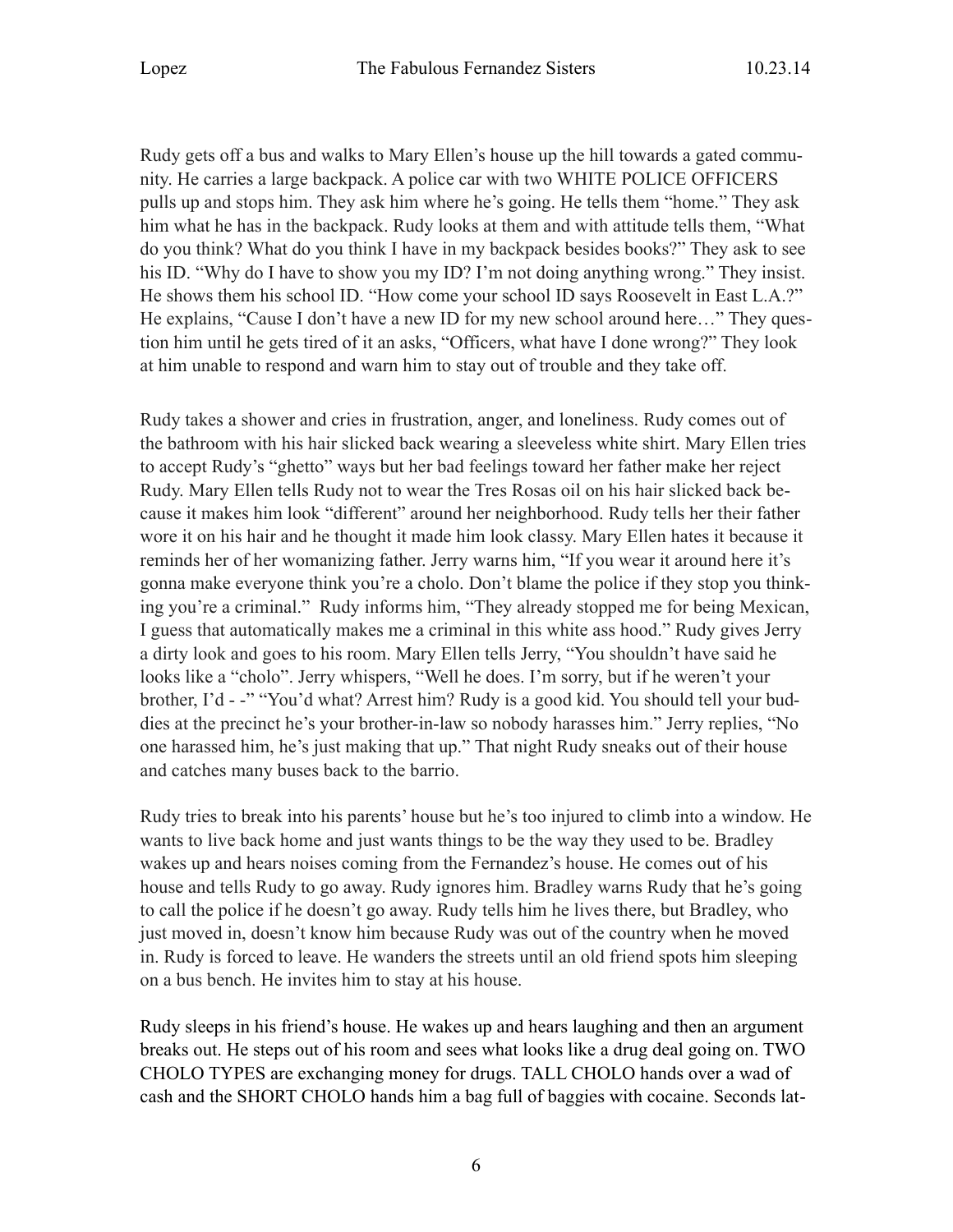Rudy gets off a bus and walks to Mary Ellen's house up the hill towards a gated community. He carries a large backpack. A police car with two WHITE POLICE OFFICERS pulls up and stops him. They ask him where he's going. He tells them "home." They ask him what he has in the backpack. Rudy looks at them and with attitude tells them, "What do you think? What do you think I have in my backpack besides books?" They ask to see his ID. "Why do I have to show you my ID? I'm not doing anything wrong." They insist. He shows them his school ID. "How come your school ID says Roosevelt in East L.A.?" He explains, "Cause I don't have a new ID for my new school around here…" They question him until he gets tired of it an asks, "Officers, what have I done wrong?" They look at him unable to respond and warn him to stay out of trouble and they take off.

Rudy takes a shower and cries in frustration, anger, and loneliness. Rudy comes out of the bathroom with his hair slicked back wearing a sleeveless white shirt. Mary Ellen tries to accept Rudy's "ghetto" ways but her bad feelings toward her father make her reject Rudy. Mary Ellen tells Rudy not to wear the Tres Rosas oil on his hair slicked back because it makes him look "different" around her neighborhood. Rudy tells her their father wore it on his hair and he thought it made him look classy. Mary Ellen hates it because it reminds her of her womanizing father. Jerry warns him, "If you wear it around here it's gonna make everyone think you're a cholo. Don't blame the police if they stop you thinking you're a criminal." Rudy informs him, "They already stopped me for being Mexican, I guess that automatically makes me a criminal in this white ass hood." Rudy gives Jerry a dirty look and goes to his room. Mary Ellen tells Jerry, "You shouldn't have said he looks like a "cholo". Jerry whispers, "Well he does. I'm sorry, but if he weren't your brother, I'd - -" "You'd what? Arrest him? Rudy is a good kid. You should tell your buddies at the precinct he's your brother-in-law so nobody harasses him." Jerry replies, "No one harassed him, he's just making that up." That night Rudy sneaks out of their house and catches many buses back to the barrio.

Rudy tries to break into his parents' house but he's too injured to climb into a window. He wants to live back home and just wants things to be the way they used to be. Bradley wakes up and hears noises coming from the Fernandez's house. He comes out of his house and tells Rudy to go away. Rudy ignores him. Bradley warns Rudy that he's going to call the police if he doesn't go away. Rudy tells him he lives there, but Bradley, who just moved in, doesn't know him because Rudy was out of the country when he moved in. Rudy is forced to leave. He wanders the streets until an old friend spots him sleeping on a bus bench. He invites him to stay at his house.

Rudy sleeps in his friend's house. He wakes up and hears laughing and then an argument breaks out. He steps out of his room and sees what looks like a drug deal going on. TWO CHOLO TYPES are exchanging money for drugs. TALL CHOLO hands over a wad of cash and the SHORT CHOLO hands him a bag full of baggies with cocaine. Seconds lat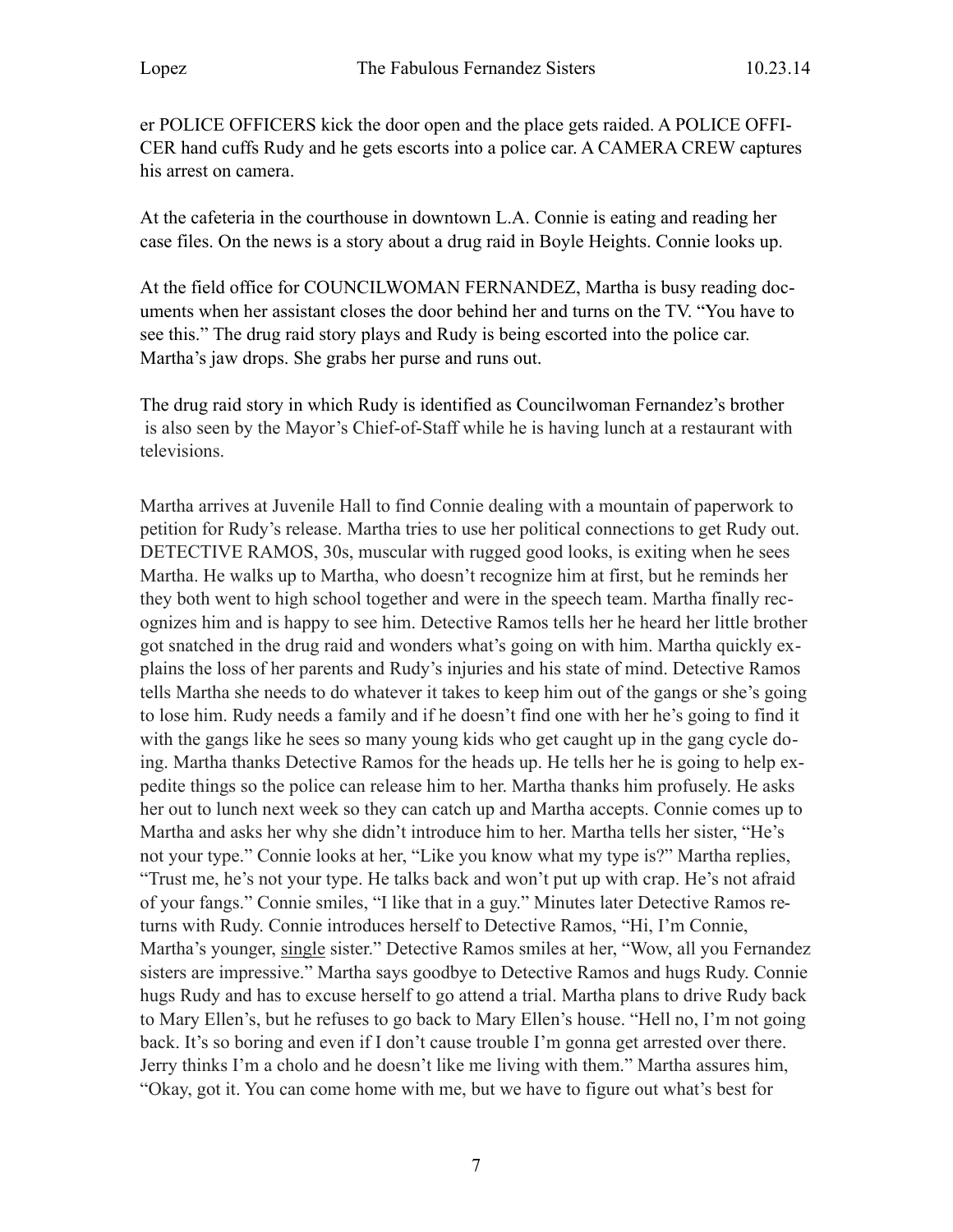er POLICE OFFICERS kick the door open and the place gets raided. A POLICE OFFI-CER hand cuffs Rudy and he gets escorts into a police car. A CAMERA CREW captures his arrest on camera.

At the cafeteria in the courthouse in downtown L.A. Connie is eating and reading her case files. On the news is a story about a drug raid in Boyle Heights. Connie looks up.

At the field office for COUNCILWOMAN FERNANDEZ, Martha is busy reading documents when her assistant closes the door behind her and turns on the TV. "You have to see this." The drug raid story plays and Rudy is being escorted into the police car. Martha's jaw drops. She grabs her purse and runs out.

The drug raid story in which Rudy is identified as Councilwoman Fernandez's brother is also seen by the Mayor's Chief-of-Staff while he is having lunch at a restaurant with televisions.

Martha arrives at Juvenile Hall to find Connie dealing with a mountain of paperwork to petition for Rudy's release. Martha tries to use her political connections to get Rudy out. DETECTIVE RAMOS, 30s, muscular with rugged good looks, is exiting when he sees Martha. He walks up to Martha, who doesn't recognize him at first, but he reminds her they both went to high school together and were in the speech team. Martha finally recognizes him and is happy to see him. Detective Ramos tells her he heard her little brother got snatched in the drug raid and wonders what's going on with him. Martha quickly explains the loss of her parents and Rudy's injuries and his state of mind. Detective Ramos tells Martha she needs to do whatever it takes to keep him out of the gangs or she's going to lose him. Rudy needs a family and if he doesn't find one with her he's going to find it with the gangs like he sees so many young kids who get caught up in the gang cycle doing. Martha thanks Detective Ramos for the heads up. He tells her he is going to help expedite things so the police can release him to her. Martha thanks him profusely. He asks her out to lunch next week so they can catch up and Martha accepts. Connie comes up to Martha and asks her why she didn't introduce him to her. Martha tells her sister, "He's not your type." Connie looks at her, "Like you know what my type is?" Martha replies, "Trust me, he's not your type. He talks back and won't put up with crap. He's not afraid of your fangs." Connie smiles, "I like that in a guy." Minutes later Detective Ramos returns with Rudy. Connie introduces herself to Detective Ramos, "Hi, I'm Connie, Martha's younger, single sister." Detective Ramos smiles at her, "Wow, all you Fernandez sisters are impressive." Martha says goodbye to Detective Ramos and hugs Rudy. Connie hugs Rudy and has to excuse herself to go attend a trial. Martha plans to drive Rudy back to Mary Ellen's, but he refuses to go back to Mary Ellen's house. "Hell no, I'm not going back. It's so boring and even if I don't cause trouble I'm gonna get arrested over there. Jerry thinks I'm a cholo and he doesn't like me living with them." Martha assures him, "Okay, got it. You can come home with me, but we have to figure out what's best for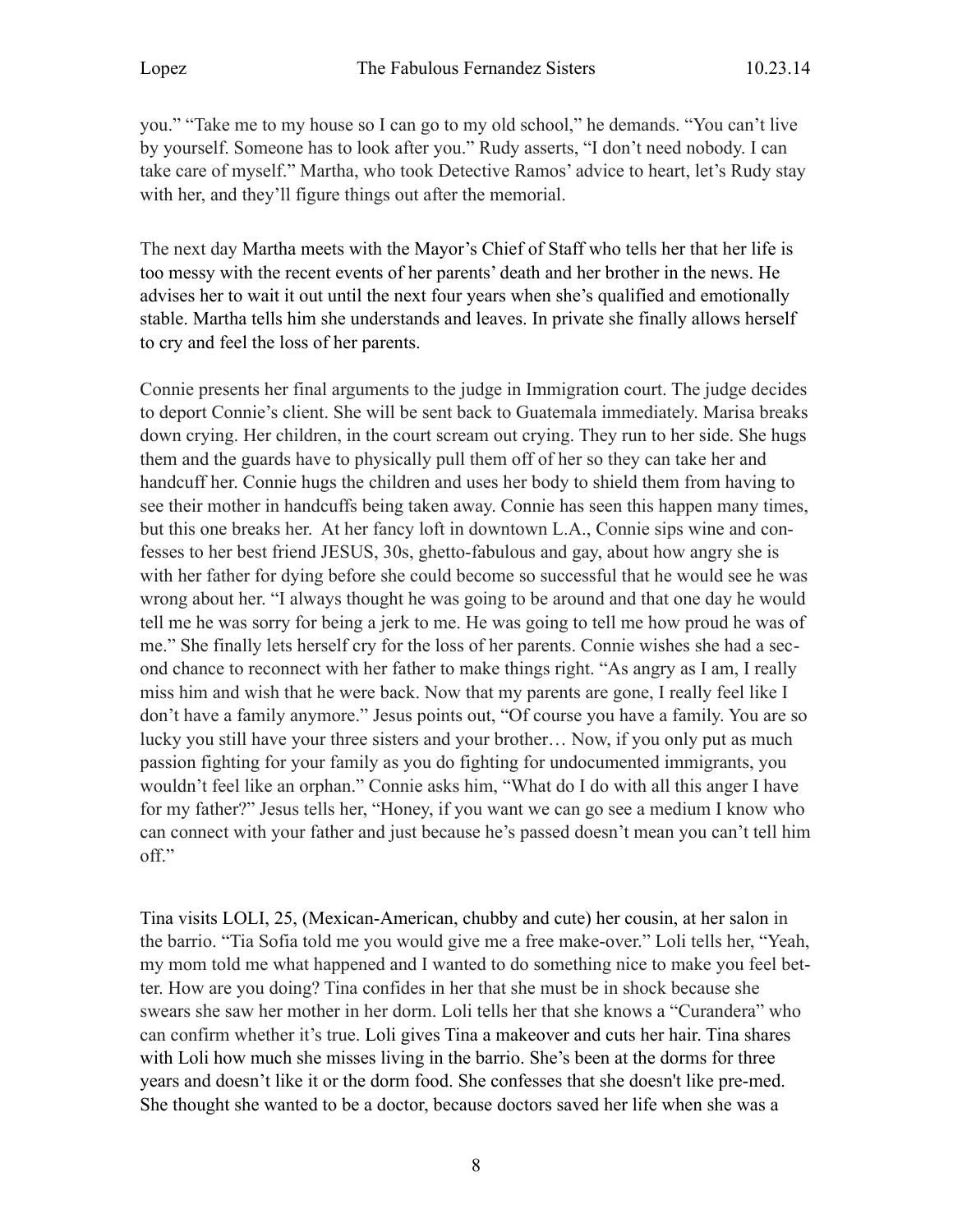you." "Take me to my house so I can go to my old school," he demands. "You can't live by yourself. Someone has to look after you." Rudy asserts, "I don't need nobody. I can take care of myself." Martha, who took Detective Ramos' advice to heart, let's Rudy stay with her, and they'll figure things out after the memorial.

The next day Martha meets with the Mayor's Chief of Staff who tells her that her life is too messy with the recent events of her parents' death and her brother in the news. He advises her to wait it out until the next four years when she's qualified and emotionally stable. Martha tells him she understands and leaves. In private she finally allows herself to cry and feel the loss of her parents.

Connie presents her final arguments to the judge in Immigration court. The judge decides to deport Connie's client. She will be sent back to Guatemala immediately. Marisa breaks down crying. Her children, in the court scream out crying. They run to her side. She hugs them and the guards have to physically pull them off of her so they can take her and handcuff her. Connie hugs the children and uses her body to shield them from having to see their mother in handcuffs being taken away. Connie has seen this happen many times, but this one breaks her. At her fancy loft in downtown L.A., Connie sips wine and confesses to her best friend JESUS, 30s, ghetto-fabulous and gay, about how angry she is with her father for dying before she could become so successful that he would see he was wrong about her. "I always thought he was going to be around and that one day he would tell me he was sorry for being a jerk to me. He was going to tell me how proud he was of me." She finally lets herself cry for the loss of her parents. Connie wishes she had a second chance to reconnect with her father to make things right. "As angry as I am, I really miss him and wish that he were back. Now that my parents are gone, I really feel like I don't have a family anymore." Jesus points out, "Of course you have a family. You are so lucky you still have your three sisters and your brother… Now, if you only put as much passion fighting for your family as you do fighting for undocumented immigrants, you wouldn't feel like an orphan." Connie asks him, "What do I do with all this anger I have for my father?" Jesus tells her, "Honey, if you want we can go see a medium I know who can connect with your father and just because he's passed doesn't mean you can't tell him off."

Tina visits LOLI, 25, (Mexican-American, chubby and cute) her cousin, at her salon in the barrio. "Tia Sofia told me you would give me a free make-over." Loli tells her, "Yeah, my mom told me what happened and I wanted to do something nice to make you feel better. How are you doing? Tina confides in her that she must be in shock because she swears she saw her mother in her dorm. Loli tells her that she knows a "Curandera" who can confirm whether it's true. Loli gives Tina a makeover and cuts her hair. Tina shares with Loli how much she misses living in the barrio. She's been at the dorms for three years and doesn't like it or the dorm food. She confesses that she doesn't like pre-med. She thought she wanted to be a doctor, because doctors saved her life when she was a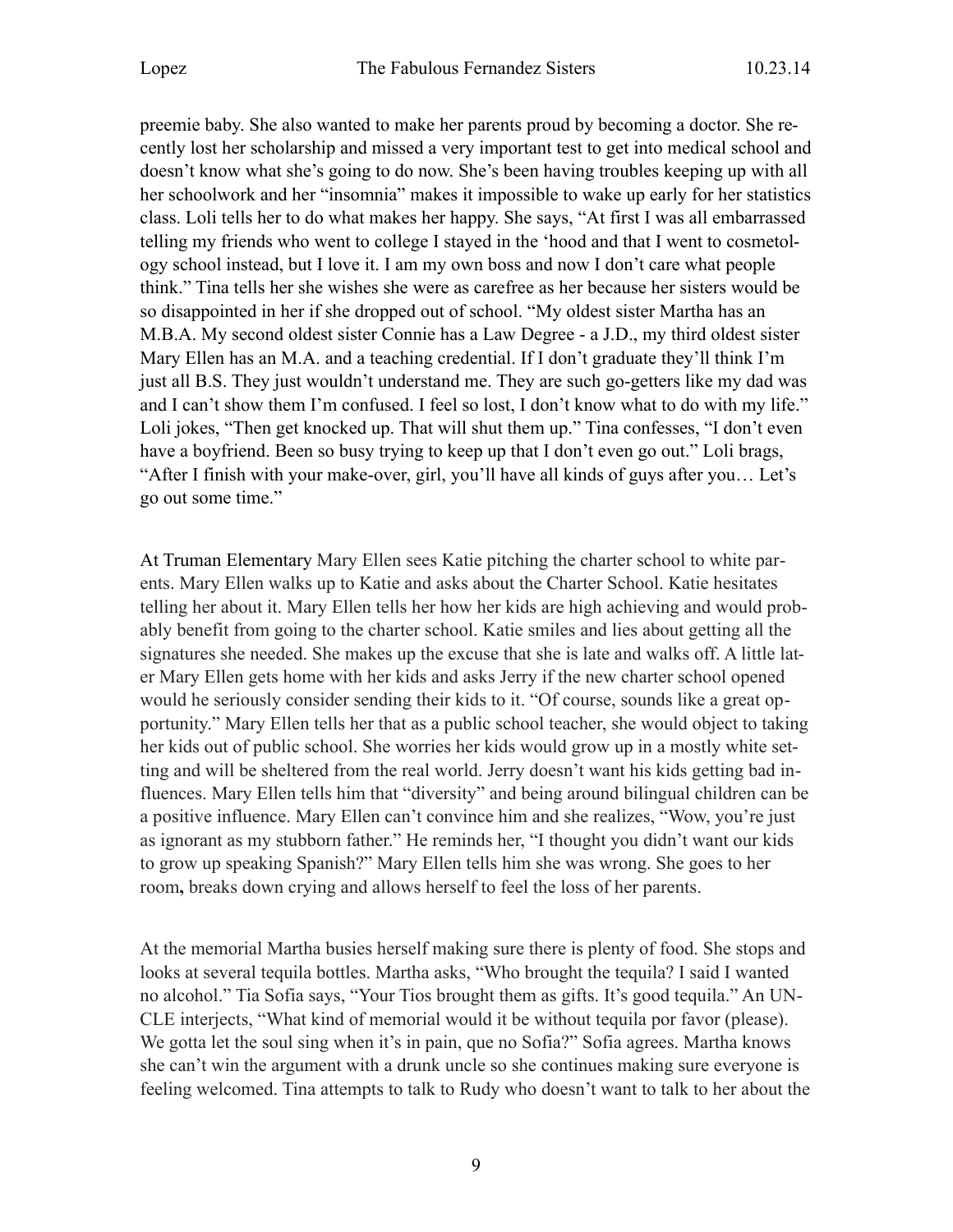preemie baby. She also wanted to make her parents proud by becoming a doctor. She recently lost her scholarship and missed a very important test to get into medical school and doesn't know what she's going to do now. She's been having troubles keeping up with all her schoolwork and her "insomnia" makes it impossible to wake up early for her statistics class. Loli tells her to do what makes her happy. She says, "At first I was all embarrassed telling my friends who went to college I stayed in the 'hood and that I went to cosmetology school instead, but I love it. I am my own boss and now I don't care what people think." Tina tells her she wishes she were as carefree as her because her sisters would be so disappointed in her if she dropped out of school. "My oldest sister Martha has an M.B.A. My second oldest sister Connie has a Law Degree - a J.D., my third oldest sister Mary Ellen has an M.A. and a teaching credential. If I don't graduate they'll think I'm just all B.S. They just wouldn't understand me. They are such go-getters like my dad was and I can't show them I'm confused. I feel so lost, I don't know what to do with my life." Loli jokes, "Then get knocked up. That will shut them up." Tina confesses, "I don't even have a boyfriend. Been so busy trying to keep up that I don't even go out." Loli brags, "After I finish with your make-over, girl, you'll have all kinds of guys after you… Let's go out some time."

At Truman Elementary Mary Ellen sees Katie pitching the charter school to white parents. Mary Ellen walks up to Katie and asks about the Charter School. Katie hesitates telling her about it. Mary Ellen tells her how her kids are high achieving and would probably benefit from going to the charter school. Katie smiles and lies about getting all the signatures she needed. She makes up the excuse that she is late and walks off. A little later Mary Ellen gets home with her kids and asks Jerry if the new charter school opened would he seriously consider sending their kids to it. "Of course, sounds like a great opportunity." Mary Ellen tells her that as a public school teacher, she would object to taking her kids out of public school. She worries her kids would grow up in a mostly white setting and will be sheltered from the real world. Jerry doesn't want his kids getting bad influences. Mary Ellen tells him that "diversity" and being around bilingual children can be a positive influence. Mary Ellen can't convince him and she realizes, "Wow, you're just as ignorant as my stubborn father." He reminds her, "I thought you didn't want our kids to grow up speaking Spanish?" Mary Ellen tells him she was wrong. She goes to her room**,** breaks down crying and allows herself to feel the loss of her parents.

At the memorial Martha busies herself making sure there is plenty of food. She stops and looks at several tequila bottles. Martha asks, "Who brought the tequila? I said I wanted no alcohol." Tia Sofia says, "Your Tios brought them as gifts. It's good tequila." An UN-CLE interjects, "What kind of memorial would it be without tequila por favor (please). We gotta let the soul sing when it's in pain, que no Sofia?" Sofia agrees. Martha knows she can't win the argument with a drunk uncle so she continues making sure everyone is feeling welcomed. Tina attempts to talk to Rudy who doesn't want to talk to her about the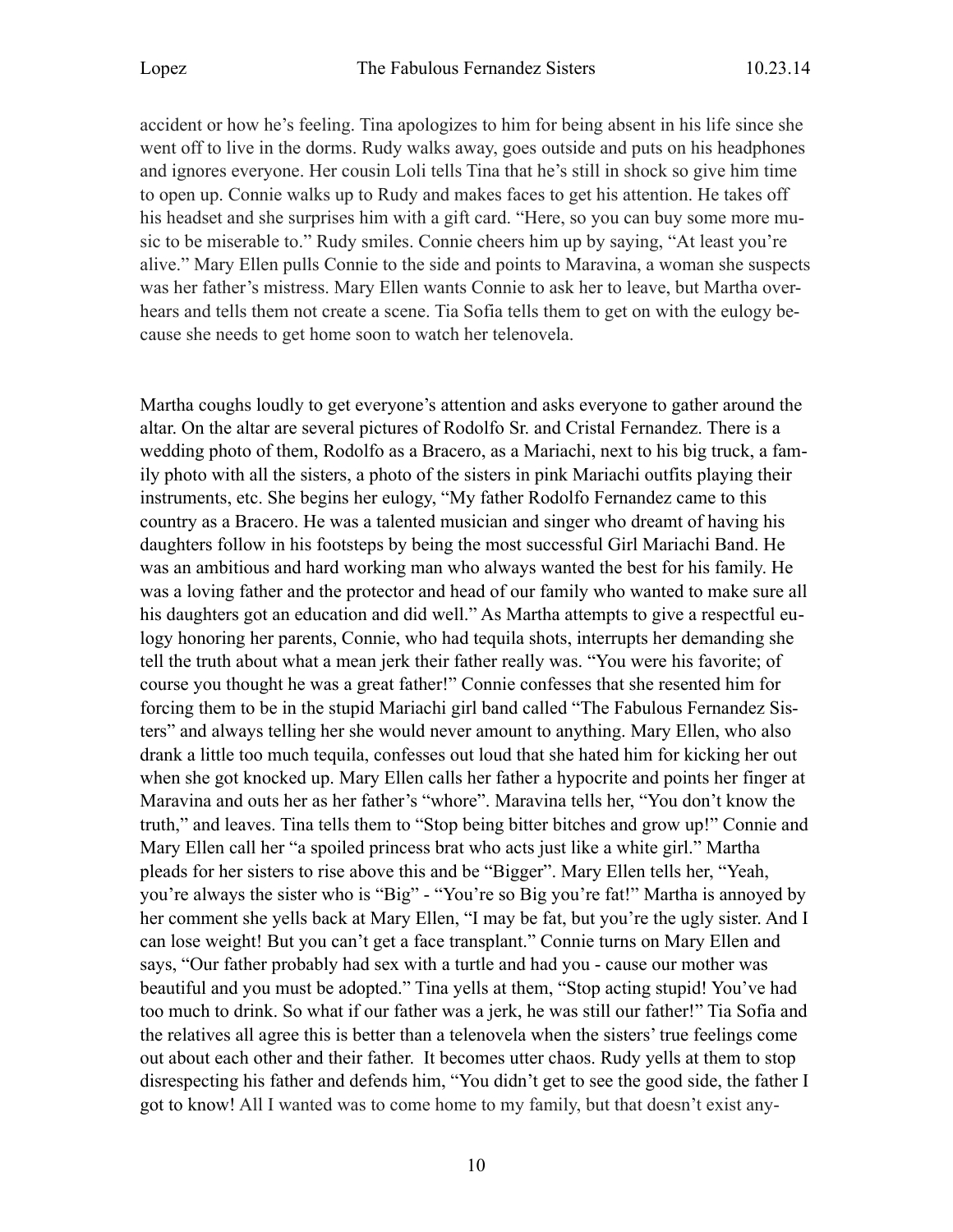accident or how he's feeling. Tina apologizes to him for being absent in his life since she went off to live in the dorms. Rudy walks away, goes outside and puts on his headphones and ignores everyone. Her cousin Loli tells Tina that he's still in shock so give him time to open up. Connie walks up to Rudy and makes faces to get his attention. He takes off his headset and she surprises him with a gift card. "Here, so you can buy some more music to be miserable to." Rudy smiles. Connie cheers him up by saying, "At least you're alive." Mary Ellen pulls Connie to the side and points to Maravina, a woman she suspects was her father's mistress. Mary Ellen wants Connie to ask her to leave, but Martha overhears and tells them not create a scene. Tia Sofia tells them to get on with the eulogy because she needs to get home soon to watch her telenovela.

Martha coughs loudly to get everyone's attention and asks everyone to gather around the altar. On the altar are several pictures of Rodolfo Sr. and Cristal Fernandez. There is a wedding photo of them, Rodolfo as a Bracero, as a Mariachi, next to his big truck, a family photo with all the sisters, a photo of the sisters in pink Mariachi outfits playing their instruments, etc. She begins her eulogy, "My father Rodolfo Fernandez came to this country as a Bracero. He was a talented musician and singer who dreamt of having his daughters follow in his footsteps by being the most successful Girl Mariachi Band. He was an ambitious and hard working man who always wanted the best for his family. He was a loving father and the protector and head of our family who wanted to make sure all his daughters got an education and did well." As Martha attempts to give a respectful eulogy honoring her parents, Connie, who had tequila shots, interrupts her demanding she tell the truth about what a mean jerk their father really was. "You were his favorite; of course you thought he was a great father!" Connie confesses that she resented him for forcing them to be in the stupid Mariachi girl band called "The Fabulous Fernandez Sisters" and always telling her she would never amount to anything. Mary Ellen, who also drank a little too much tequila, confesses out loud that she hated him for kicking her out when she got knocked up. Mary Ellen calls her father a hypocrite and points her finger at Maravina and outs her as her father's "whore". Maravina tells her, "You don't know the truth," and leaves. Tina tells them to "Stop being bitter bitches and grow up!" Connie and Mary Ellen call her "a spoiled princess brat who acts just like a white girl." Martha pleads for her sisters to rise above this and be "Bigger". Mary Ellen tells her, "Yeah, you're always the sister who is "Big" - "You're so Big you're fat!" Martha is annoyed by her comment she yells back at Mary Ellen, "I may be fat, but you're the ugly sister. And I can lose weight! But you can't get a face transplant." Connie turns on Mary Ellen and says, "Our father probably had sex with a turtle and had you - cause our mother was beautiful and you must be adopted." Tina yells at them, "Stop acting stupid! You've had too much to drink. So what if our father was a jerk, he was still our father!" Tia Sofia and the relatives all agree this is better than a telenovela when the sisters' true feelings come out about each other and their father. It becomes utter chaos. Rudy yells at them to stop disrespecting his father and defends him, "You didn't get to see the good side, the father I got to know! All I wanted was to come home to my family, but that doesn't exist any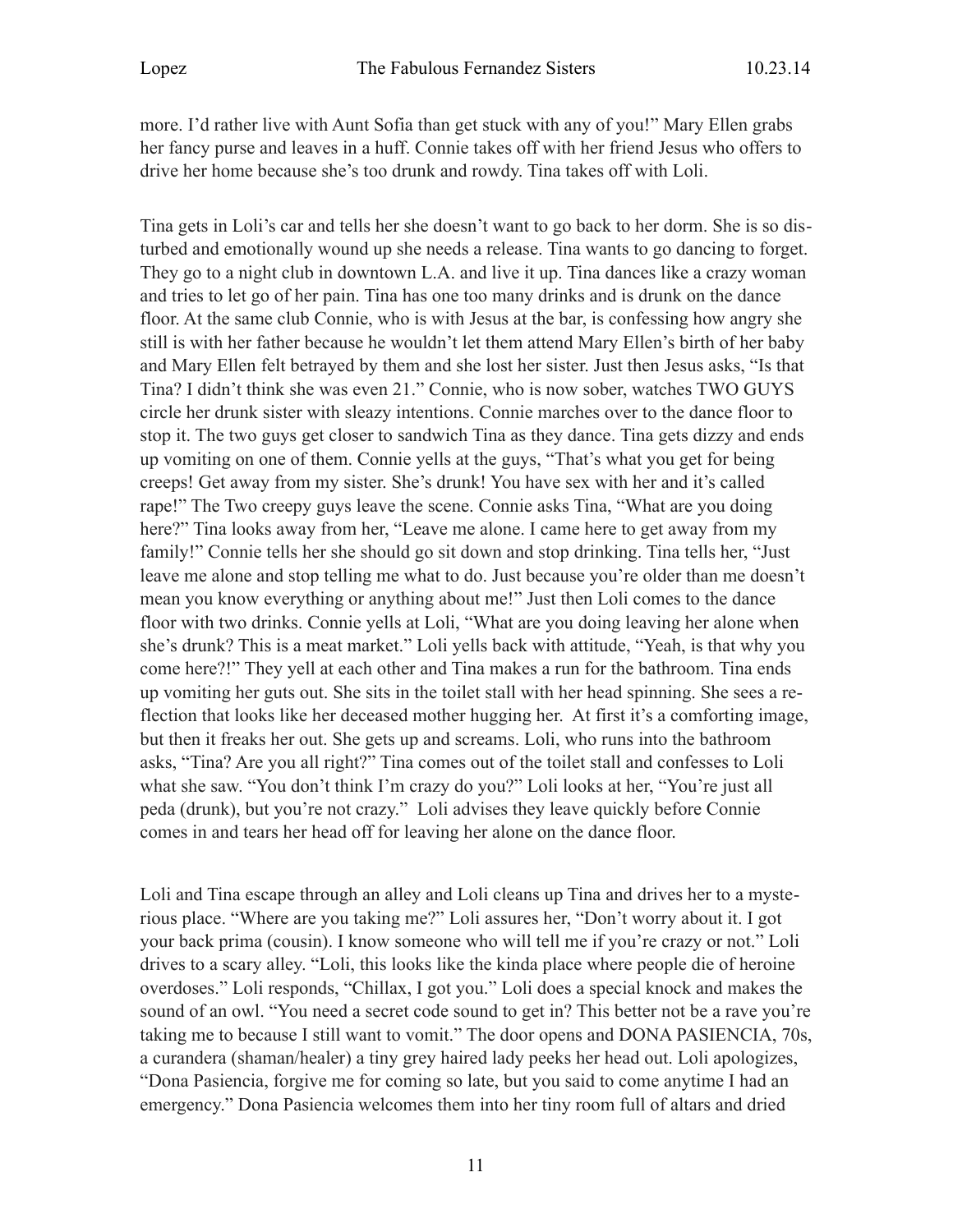more. I'd rather live with Aunt Sofia than get stuck with any of you!" Mary Ellen grabs her fancy purse and leaves in a huff. Connie takes off with her friend Jesus who offers to drive her home because she's too drunk and rowdy. Tina takes off with Loli.

Tina gets in Loli's car and tells her she doesn't want to go back to her dorm. She is so disturbed and emotionally wound up she needs a release. Tina wants to go dancing to forget. They go to a night club in downtown L.A. and live it up. Tina dances like a crazy woman and tries to let go of her pain. Tina has one too many drinks and is drunk on the dance floor. At the same club Connie, who is with Jesus at the bar, is confessing how angry she still is with her father because he wouldn't let them attend Mary Ellen's birth of her baby and Mary Ellen felt betrayed by them and she lost her sister. Just then Jesus asks, "Is that Tina? I didn't think she was even 21." Connie, who is now sober, watches TWO GUYS circle her drunk sister with sleazy intentions. Connie marches over to the dance floor to stop it. The two guys get closer to sandwich Tina as they dance. Tina gets dizzy and ends up vomiting on one of them. Connie yells at the guys, "That's what you get for being creeps! Get away from my sister. She's drunk! You have sex with her and it's called rape!" The Two creepy guys leave the scene. Connie asks Tina, "What are you doing here?" Tina looks away from her, "Leave me alone. I came here to get away from my family!" Connie tells her she should go sit down and stop drinking. Tina tells her, "Just leave me alone and stop telling me what to do. Just because you're older than me doesn't mean you know everything or anything about me!" Just then Loli comes to the dance floor with two drinks. Connie yells at Loli, "What are you doing leaving her alone when she's drunk? This is a meat market." Loli yells back with attitude, "Yeah, is that why you come here?!" They yell at each other and Tina makes a run for the bathroom. Tina ends up vomiting her guts out. She sits in the toilet stall with her head spinning. She sees a reflection that looks like her deceased mother hugging her. At first it's a comforting image, but then it freaks her out. She gets up and screams. Loli, who runs into the bathroom asks, "Tina? Are you all right?" Tina comes out of the toilet stall and confesses to Loli what she saw. "You don't think I'm crazy do you?" Loli looks at her, "You're just all peda (drunk), but you're not crazy." Loli advises they leave quickly before Connie comes in and tears her head off for leaving her alone on the dance floor.

Loli and Tina escape through an alley and Loli cleans up Tina and drives her to a mysterious place. "Where are you taking me?" Loli assures her, "Don't worry about it. I got your back prima (cousin). I know someone who will tell me if you're crazy or not." Loli drives to a scary alley. "Loli, this looks like the kinda place where people die of heroine overdoses." Loli responds, "Chillax, I got you." Loli does a special knock and makes the sound of an owl. "You need a secret code sound to get in? This better not be a rave you're taking me to because I still want to vomit." The door opens and DONA PASIENCIA, 70s, a curandera (shaman/healer) a tiny grey haired lady peeks her head out. Loli apologizes, "Dona Pasiencia, forgive me for coming so late, but you said to come anytime I had an emergency." Dona Pasiencia welcomes them into her tiny room full of altars and dried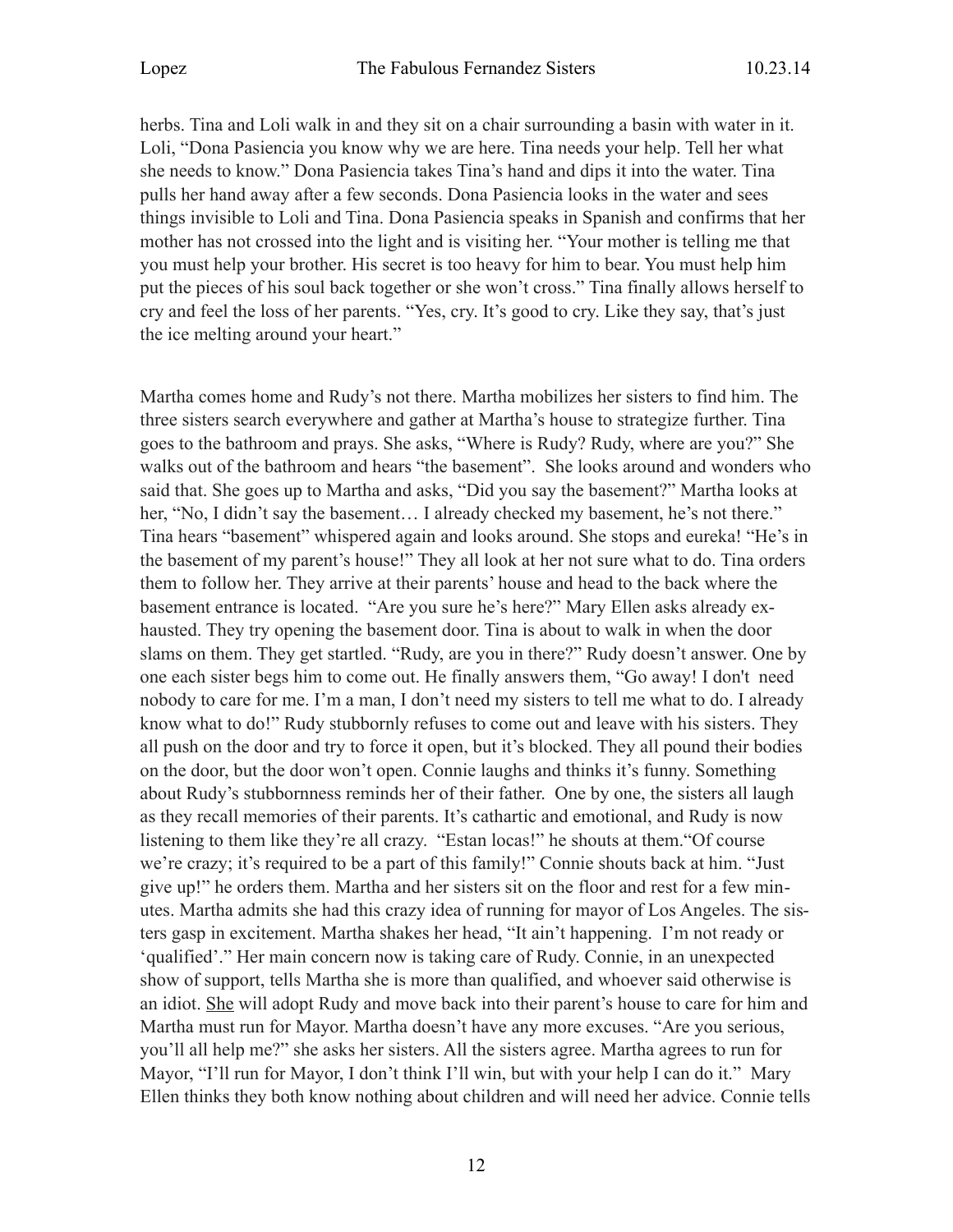herbs. Tina and Loli walk in and they sit on a chair surrounding a basin with water in it. Loli, "Dona Pasiencia you know why we are here. Tina needs your help. Tell her what she needs to know." Dona Pasiencia takes Tina's hand and dips it into the water. Tina pulls her hand away after a few seconds. Dona Pasiencia looks in the water and sees things invisible to Loli and Tina. Dona Pasiencia speaks in Spanish and confirms that her mother has not crossed into the light and is visiting her. "Your mother is telling me that you must help your brother. His secret is too heavy for him to bear. You must help him put the pieces of his soul back together or she won't cross." Tina finally allows herself to cry and feel the loss of her parents. "Yes, cry. It's good to cry. Like they say, that's just the ice melting around your heart."

Martha comes home and Rudy's not there. Martha mobilizes her sisters to find him. The three sisters search everywhere and gather at Martha's house to strategize further. Tina goes to the bathroom and prays. She asks, "Where is Rudy? Rudy, where are you?" She walks out of the bathroom and hears "the basement". She looks around and wonders who said that. She goes up to Martha and asks, "Did you say the basement?" Martha looks at her, "No, I didn't say the basement... I already checked my basement, he's not there." Tina hears "basement" whispered again and looks around. She stops and eureka! "He's in the basement of my parent's house!" They all look at her not sure what to do. Tina orders them to follow her. They arrive at their parents' house and head to the back where the basement entrance is located. "Are you sure he's here?" Mary Ellen asks already exhausted. They try opening the basement door. Tina is about to walk in when the door slams on them. They get startled. "Rudy, are you in there?" Rudy doesn't answer. One by one each sister begs him to come out. He finally answers them, "Go away! I don't need nobody to care for me. I'm a man, I don't need my sisters to tell me what to do. I already know what to do!" Rudy stubbornly refuses to come out and leave with his sisters. They all push on the door and try to force it open, but it's blocked. They all pound their bodies on the door, but the door won't open. Connie laughs and thinks it's funny. Something about Rudy's stubbornness reminds her of their father. One by one, the sisters all laugh as they recall memories of their parents. It's cathartic and emotional, and Rudy is now listening to them like they're all crazy. "Estan locas!" he shouts at them."Of course we're crazy; it's required to be a part of this family!" Connie shouts back at him. "Just give up!" he orders them. Martha and her sisters sit on the floor and rest for a few minutes. Martha admits she had this crazy idea of running for mayor of Los Angeles. The sisters gasp in excitement. Martha shakes her head, "It ain't happening. I'm not ready or 'qualified'." Her main concern now is taking care of Rudy. Connie, in an unexpected show of support, tells Martha she is more than qualified, and whoever said otherwise is an idiot. She will adopt Rudy and move back into their parent's house to care for him and Martha must run for Mayor. Martha doesn't have any more excuses. "Are you serious, you'll all help me?" she asks her sisters. All the sisters agree. Martha agrees to run for Mayor, "I'll run for Mayor, I don't think I'll win, but with your help I can do it." Mary Ellen thinks they both know nothing about children and will need her advice. Connie tells